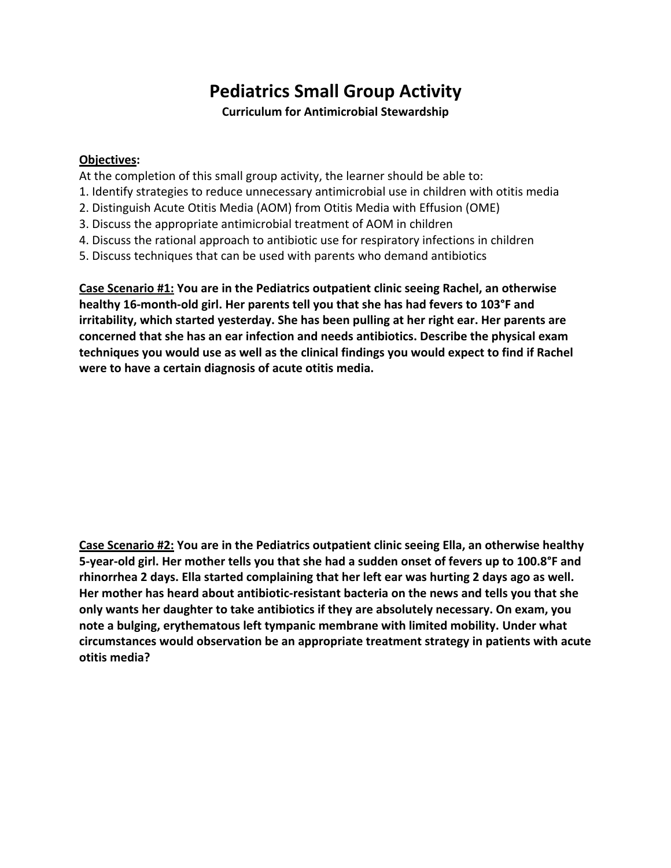## **Pediatrics Small Group Activity**

**Curriculum for Antimicrobial Stewardship** 

## **Objectives:**

At the completion of this small group activity, the learner should be able to:

- 1. Identify strategies to reduce unnecessary antimicrobial use in children with otitis media
- 2. Distinguish Acute Otitis Media (AOM) from Otitis Media with Effusion (OME)
- 3. Discuss the appropriate antimicrobial treatment of AOM in children
- 4. Discuss the rational approach to antibiotic use for respiratory infections in children
- 5. Discuss techniques that can be used with parents who demand antibiotics

Case Scenario #1: You are in the Pediatrics outpatient clinic seeing Rachel, an otherwise healthy 16-month-old girl. Her parents tell you that she has had fevers to 103°F and irritability, which started yesterday. She has been pulling at her right ear. Her parents are concerned that she has an ear infection and needs antibiotics. Describe the physical exam techniques you would use as well as the clinical findings you would expect to find if Rachel were to have a certain diagnosis of acute otitis media.

**Case Scenario #2: You are in the Pediatrics outpatient clinic seeing Ella, an otherwise healthy** 5-year-old girl. Her mother tells you that she had a sudden onset of fevers up to 100.8°F and rhinorrhea 2 days. Ella started complaining that her left ear was hurting 2 days ago as well. Her mother has heard about antibiotic-resistant bacteria on the news and tells you that she only wants her daughter to take antibiotics if they are absolutely necessary. On exam, you note a bulging, erythematous left tympanic membrane with limited mobility. Under what circumstances would observation be an appropriate treatment strategy in patients with acute **otitis media?**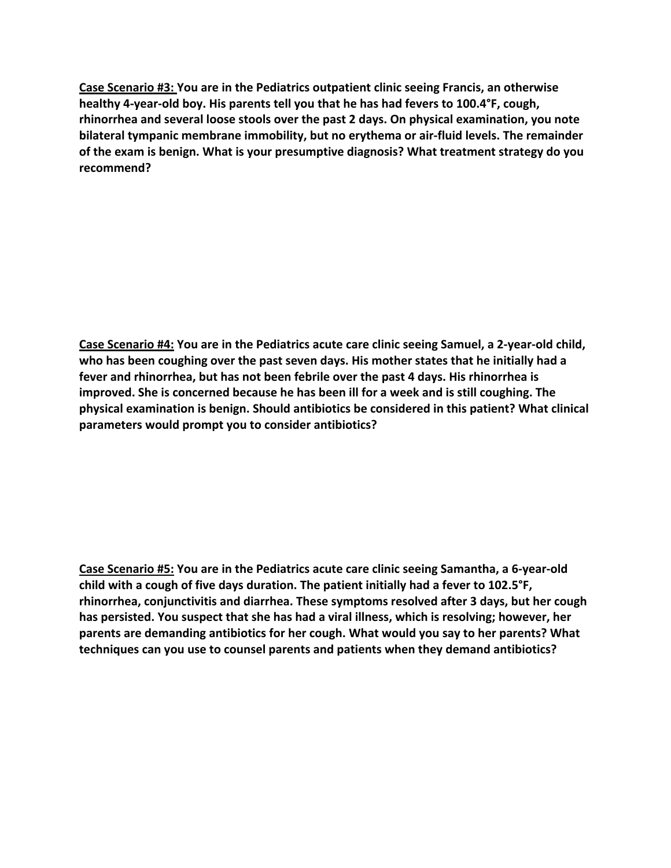**Case Scenario #3: You are in the Pediatrics outpatient clinic seeing Francis, an otherwise** healthy 4-year-old boy. His parents tell you that he has had fevers to 100.4°F, cough, rhinorrhea and several loose stools over the past 2 days. On physical examination, you note **bilateral tympanic membrane immobility, but no erythema or air-fluid levels. The remainder** of the exam is benign. What is your presumptive diagnosis? What treatment strategy do you **recommend?** 

Case Scenario #4: You are in the Pediatrics acute care clinic seeing Samuel, a 2-year-old child, who has been coughing over the past seven days. His mother states that he initially had a fever and rhinorrhea, but has not been febrile over the past 4 days. His rhinorrhea is **improved.** She is concerned because he has been ill for a week and is still coughing. The physical examination is benign. Should antibiotics be considered in this patient? What clinical **parameters would prompt you to consider antibiotics?** 

**Case Scenario #5: You are in the Pediatrics acute care clinic seeing Samantha, a 6-year-old** child with a cough of five days duration. The patient initially had a fever to 102.5<sup>°</sup>F, rhinorrhea, conjunctivitis and diarrhea. These symptoms resolved after 3 days, but her cough has persisted. You suspect that she has had a viral illness, which is resolving; however, her parents are demanding antibiotics for her cough. What would you say to her parents? What techniques can you use to counsel parents and patients when they demand antibiotics?